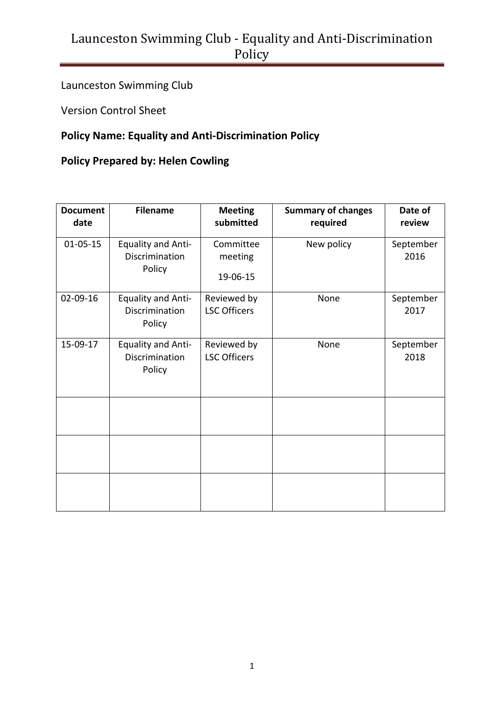Launceston Swimming Club

Version Control Sheet

#### **Policy Name: Equality and Anti-Discrimination Policy**

#### **Policy Prepared by: Helen Cowling**

| <b>Document</b><br>date | <b>Filename</b>                                       | <b>Meeting</b><br>submitted        | <b>Summary of changes</b><br>required | Date of<br>review |
|-------------------------|-------------------------------------------------------|------------------------------------|---------------------------------------|-------------------|
| $01 - 05 - 15$          | <b>Equality and Anti-</b><br>Discrimination<br>Policy | Committee<br>meeting               | New policy                            | September<br>2016 |
|                         |                                                       | 19-06-15                           |                                       |                   |
| 02-09-16                | <b>Equality and Anti-</b><br>Discrimination<br>Policy | Reviewed by<br><b>LSC Officers</b> | None                                  | September<br>2017 |
| 15-09-17                | <b>Equality and Anti-</b><br>Discrimination<br>Policy | Reviewed by<br><b>LSC Officers</b> | None                                  | September<br>2018 |
|                         |                                                       |                                    |                                       |                   |
|                         |                                                       |                                    |                                       |                   |
|                         |                                                       |                                    |                                       |                   |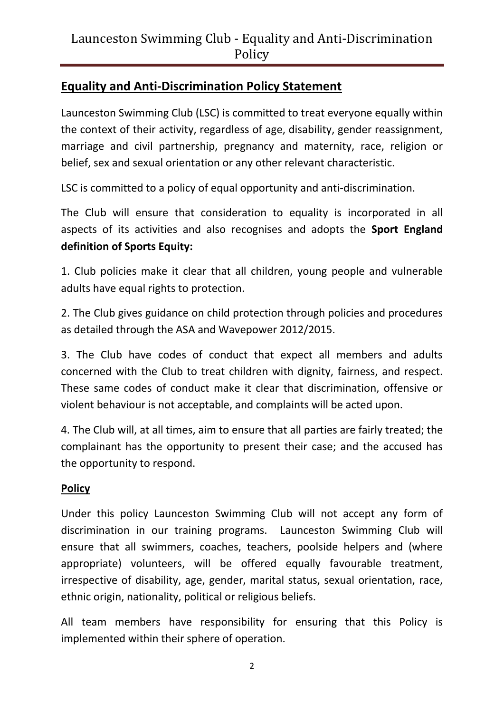### **Equality and Anti-Discrimination Policy Statement**

Launceston Swimming Club (LSC) is committed to treat everyone equally within the context of their activity, regardless of age, disability, gender reassignment, marriage and civil partnership, pregnancy and maternity, race, religion or belief, sex and sexual orientation or any other relevant characteristic.

LSC is committed to a policy of equal opportunity and anti-discrimination.

The Club will ensure that consideration to equality is incorporated in all aspects of its activities and also recognises and adopts the **Sport England definition of Sports Equity:** 

1. Club policies make it clear that all children, young people and vulnerable adults have equal rights to protection.

2. The Club gives guidance on child protection through policies and procedures as detailed through the ASA and Wavepower 2012/2015.

3. The Club have codes of conduct that expect all members and adults concerned with the Club to treat children with dignity, fairness, and respect. These same codes of conduct make it clear that discrimination, offensive or violent behaviour is not acceptable, and complaints will be acted upon.

4. The Club will, at all times, aim to ensure that all parties are fairly treated; the complainant has the opportunity to present their case; and the accused has the opportunity to respond.

#### **Policy**

Under this policy Launceston Swimming Club will not accept any form of discrimination in our training programs. Launceston Swimming Club will ensure that all swimmers, coaches, teachers, poolside helpers and (where appropriate) volunteers, will be offered equally favourable treatment, irrespective of disability, age, gender, marital status, sexual orientation, race, ethnic origin, nationality, political or religious beliefs.

All team members have responsibility for ensuring that this Policy is implemented within their sphere of operation.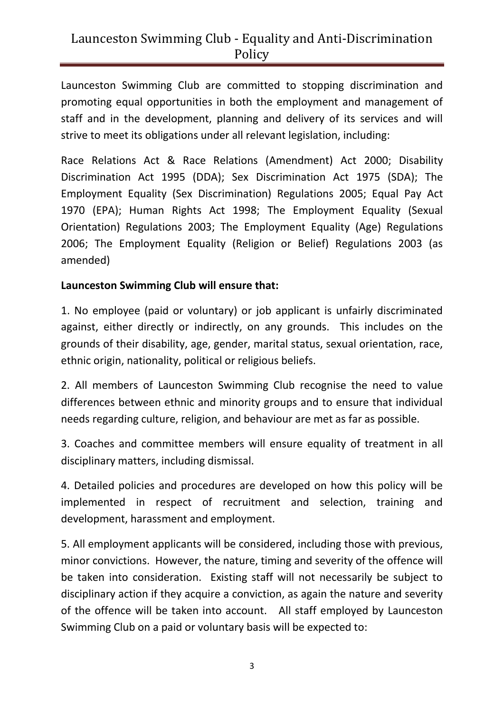Launceston Swimming Club are committed to stopping discrimination and promoting equal opportunities in both the employment and management of staff and in the development, planning and delivery of its services and will strive to meet its obligations under all relevant legislation, including:

Race Relations Act & Race Relations (Amendment) Act 2000; Disability Discrimination Act 1995 (DDA); Sex Discrimination Act 1975 (SDA); The Employment Equality (Sex Discrimination) Regulations 2005; Equal Pay Act 1970 (EPA); Human Rights Act 1998; The Employment Equality (Sexual Orientation) Regulations 2003; The Employment Equality (Age) Regulations 2006; The Employment Equality (Religion or Belief) Regulations 2003 (as amended)

#### **Launceston Swimming Club will ensure that:**

1. No employee (paid or voluntary) or job applicant is unfairly discriminated against, either directly or indirectly, on any grounds. This includes on the grounds of their disability, age, gender, marital status, sexual orientation, race, ethnic origin, nationality, political or religious beliefs.

2. All members of Launceston Swimming Club recognise the need to value differences between ethnic and minority groups and to ensure that individual needs regarding culture, religion, and behaviour are met as far as possible.

3. Coaches and committee members will ensure equality of treatment in all disciplinary matters, including dismissal.

4. Detailed policies and procedures are developed on how this policy will be implemented in respect of recruitment and selection, training and development, harassment and employment.

5. All employment applicants will be considered, including those with previous, minor convictions. However, the nature, timing and severity of the offence will be taken into consideration. Existing staff will not necessarily be subject to disciplinary action if they acquire a conviction, as again the nature and severity of the offence will be taken into account. All staff employed by Launceston Swimming Club on a paid or voluntary basis will be expected to: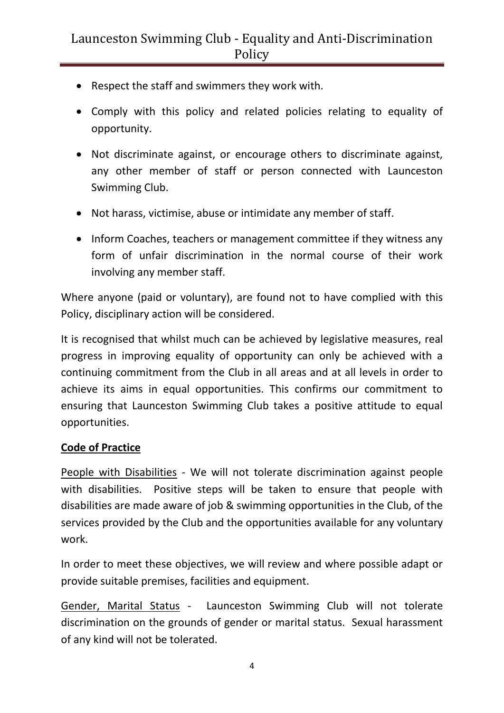- Respect the staff and swimmers they work with.
- Comply with this policy and related policies relating to equality of opportunity.
- Not discriminate against, or encourage others to discriminate against, any other member of staff or person connected with Launceston Swimming Club.
- Not harass, victimise, abuse or intimidate any member of staff.
- Inform Coaches, teachers or management committee if they witness any form of unfair discrimination in the normal course of their work involving any member staff.

Where anyone (paid or voluntary), are found not to have complied with this Policy, disciplinary action will be considered.

It is recognised that whilst much can be achieved by legislative measures, real progress in improving equality of opportunity can only be achieved with a continuing commitment from the Club in all areas and at all levels in order to achieve its aims in equal opportunities. This confirms our commitment to ensuring that Launceston Swimming Club takes a positive attitude to equal opportunities.

#### **Code of Practice**

People with Disabilities - We will not tolerate discrimination against people with disabilities. Positive steps will be taken to ensure that people with disabilities are made aware of job & swimming opportunities in the Club, of the services provided by the Club and the opportunities available for any voluntary work.

In order to meet these objectives, we will review and where possible adapt or provide suitable premises, facilities and equipment.

Gender, Marital Status - Launceston Swimming Club will not tolerate discrimination on the grounds of gender or marital status. Sexual harassment of any kind will not be tolerated.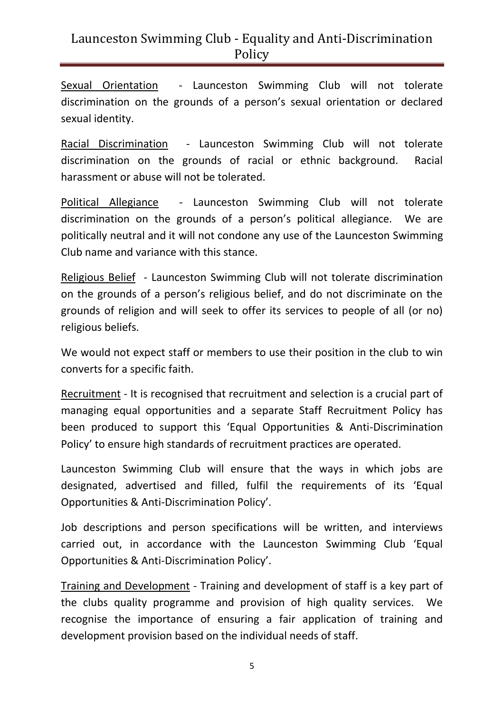Sexual Orientation - Launceston Swimming Club will not tolerate discrimination on the grounds of a person's sexual orientation or declared sexual identity.

Racial Discrimination - Launceston Swimming Club will not tolerate discrimination on the grounds of racial or ethnic background. Racial harassment or abuse will not be tolerated.

Political Allegiance - Launceston Swimming Club will not tolerate discrimination on the grounds of a person's political allegiance. We are politically neutral and it will not condone any use of the Launceston Swimming Club name and variance with this stance.

Religious Belief - Launceston Swimming Club will not tolerate discrimination on the grounds of a person's religious belief, and do not discriminate on the grounds of religion and will seek to offer its services to people of all (or no) religious beliefs.

We would not expect staff or members to use their position in the club to win converts for a specific faith.

Recruitment - It is recognised that recruitment and selection is a crucial part of managing equal opportunities and a separate Staff Recruitment Policy has been produced to support this 'Equal Opportunities & Anti-Discrimination Policy' to ensure high standards of recruitment practices are operated.

Launceston Swimming Club will ensure that the ways in which jobs are designated, advertised and filled, fulfil the requirements of its 'Equal Opportunities & Anti-Discrimination Policy'.

Job descriptions and person specifications will be written, and interviews carried out, in accordance with the Launceston Swimming Club 'Equal Opportunities & Anti-Discrimination Policy'.

Training and Development - Training and development of staff is a key part of the clubs quality programme and provision of high quality services. We recognise the importance of ensuring a fair application of training and development provision based on the individual needs of staff.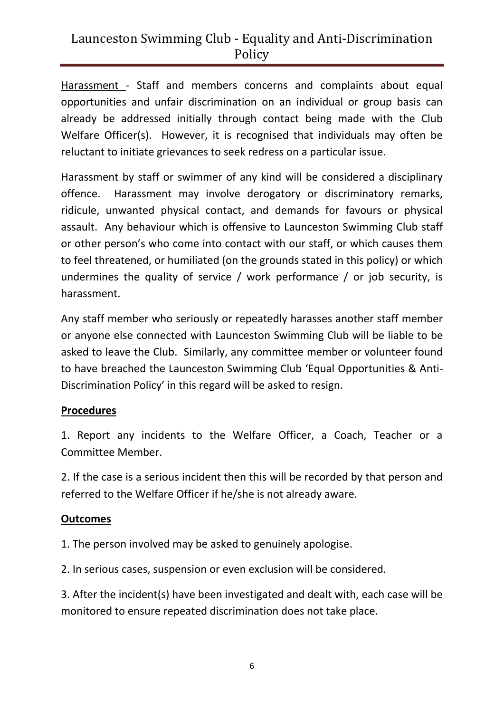Harassment - Staff and members concerns and complaints about equal opportunities and unfair discrimination on an individual or group basis can already be addressed initially through contact being made with the Club Welfare Officer(s). However, it is recognised that individuals may often be reluctant to initiate grievances to seek redress on a particular issue.

Harassment by staff or swimmer of any kind will be considered a disciplinary offence. Harassment may involve derogatory or discriminatory remarks, ridicule, unwanted physical contact, and demands for favours or physical assault. Any behaviour which is offensive to Launceston Swimming Club staff or other person's who come into contact with our staff, or which causes them to feel threatened, or humiliated (on the grounds stated in this policy) or which undermines the quality of service / work performance / or job security, is harassment.

Any staff member who seriously or repeatedly harasses another staff member or anyone else connected with Launceston Swimming Club will be liable to be asked to leave the Club. Similarly, any committee member or volunteer found to have breached the Launceston Swimming Club 'Equal Opportunities & Anti-Discrimination Policy' in this regard will be asked to resign.

#### **Procedures**

1. Report any incidents to the Welfare Officer, a Coach, Teacher or a Committee Member.

2. If the case is a serious incident then this will be recorded by that person and referred to the Welfare Officer if he/she is not already aware.

#### **Outcomes**

1. The person involved may be asked to genuinely apologise.

2. In serious cases, suspension or even exclusion will be considered.

3. After the incident(s) have been investigated and dealt with, each case will be monitored to ensure repeated discrimination does not take place.